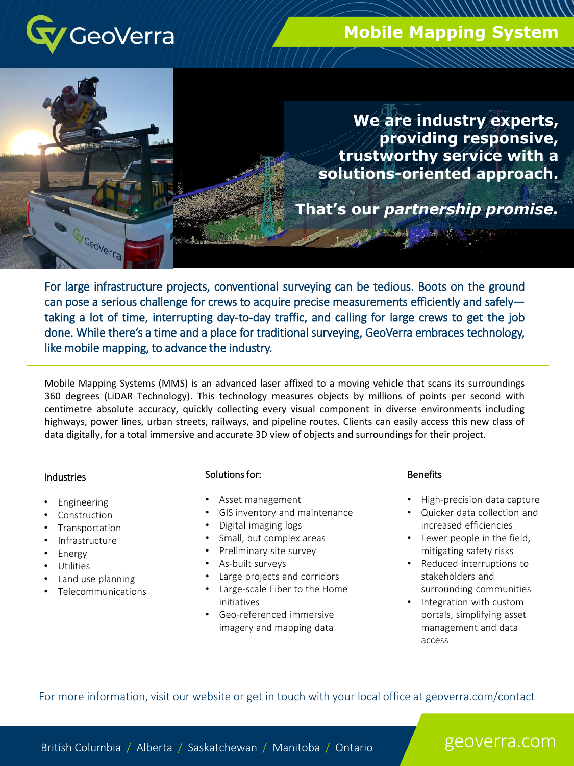

GeoVerra

# **Mobile Mapping System**

**Unmanned Aerial Vehicles (U.A.V.)**

**We are industry experts, providing responsive, trustworthy service with a solutions-oriented approach.** 

**That's our** *partnership promise.*

For large infrastructure projects, conventional surveying can be tedious. Boots on the ground can pose a serious challenge for crews to acquire precise measurements efficiently and safely taking a lot of time, interrupting day-to-day traffic, and calling for large crews to get the job done. While there's a time and a place for traditional surveying, GeoVerra embraces technology, like mobile mapping, to advance the industry.

Mobile Mapping Systems (MMS) is an advanced laser affixed to a moving vehicle that scans its surroundings 360 degrees (LiDAR Technology). This technology measures objects by millions of points per second with centimetre absolute accuracy, quickly collecting every visual component in diverse environments including highways, power lines, urban streets, railways, and pipeline routes. Clients can easily access this new class of data digitally, for a total immersive and accurate 3D view of objects and surroundings for their project.

## **Industries**

- Engineering
- **Construction**
- **Transportation**
- **Infrastructure**
- **Energy**
- **Utilities**
- Land use planning
- Telecommunications

### Solutions for:

- Asset management
- GIS inventory and maintenance
- Digital imaging logs
- Small, but complex areas
- Preliminary site survey
- As-built surveys
- Large projects and corridors
- Large-scale Fiber to the Home initiatives
- Geo-referenced immersive imagery and mapping data

### **Benefits**

- High-precision data capture
- Quicker data collection and increased efficiencies
- Fewer people in the field, mitigating safety risks
- Reduced interruptions to stakeholders and surrounding communities
- Integration with custom portals, simplifying asset management and data access

For more information, visit our website or get in touch with your local office at geoverra.com/contact